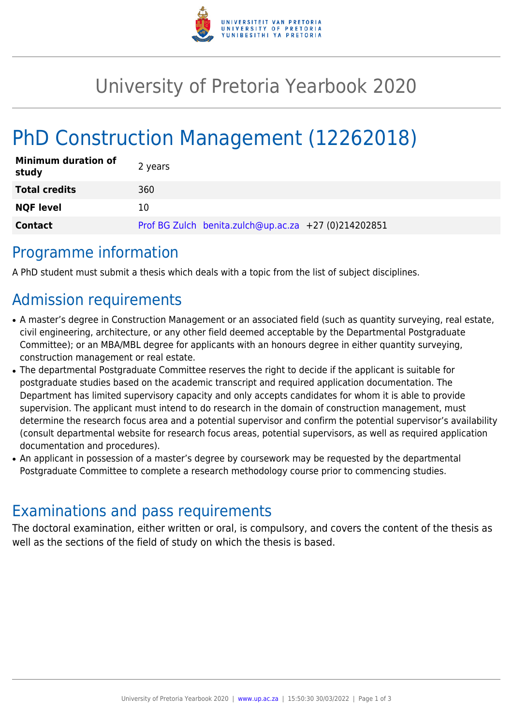

## University of Pretoria Yearbook 2020

# PhD Construction Management (12262018)

| <b>Minimum duration of</b><br>study | 2 years                                              |
|-------------------------------------|------------------------------------------------------|
| <b>Total credits</b>                | 360                                                  |
| <b>NQF level</b>                    | 10                                                   |
| <b>Contact</b>                      | Prof BG Zulch benita.zulch@up.ac.za +27 (0)214202851 |

### Programme information

A PhD student must submit a thesis which deals with a topic from the list of subject disciplines.

## Admission requirements

- A master's degree in Construction Management or an associated field (such as quantity surveying, real estate, civil engineering, architecture, or any other field deemed acceptable by the Departmental Postgraduate Committee); or an MBA/MBL degree for applicants with an honours degree in either quantity surveying, construction management or real estate.
- The departmental Postgraduate Committee reserves the right to decide if the applicant is suitable for postgraduate studies based on the academic transcript and required application documentation. The Department has limited supervisory capacity and only accepts candidates for whom it is able to provide supervision. The applicant must intend to do research in the domain of construction management, must determine the research focus area and a potential supervisor and confirm the potential supervisor's availability (consult departmental website for research focus areas, potential supervisors, as well as required application documentation and procedures).
- An applicant in possession of a master's degree by coursework may be requested by the departmental Postgraduate Committee to complete a research methodology course prior to commencing studies.

## Examinations and pass requirements

The doctoral examination, either written or oral, is compulsory, and covers the content of the thesis as well as the sections of the field of study on which the thesis is based.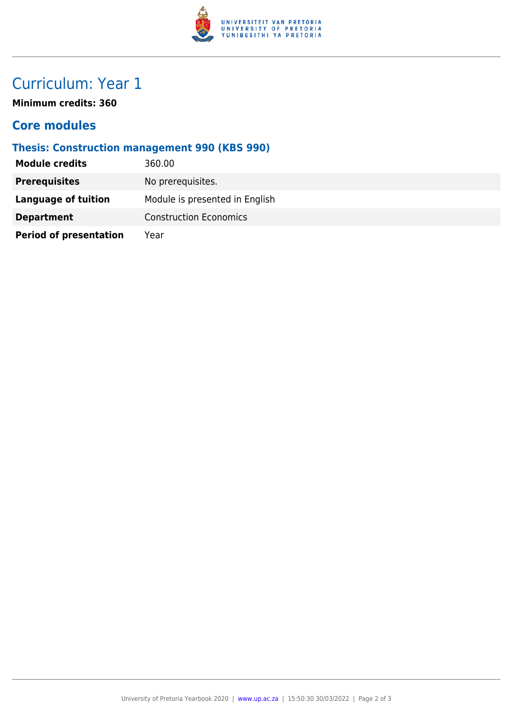

## Curriculum: Year 1

**Minimum credits: 360**

#### **Core modules**

#### **Thesis: Construction management 990 (KBS 990)**

| <b>Module credits</b>         | 360.00                         |
|-------------------------------|--------------------------------|
| <b>Prerequisites</b>          | No prerequisites.              |
| <b>Language of tuition</b>    | Module is presented in English |
| <b>Department</b>             | <b>Construction Economics</b>  |
| <b>Period of presentation</b> | Year                           |